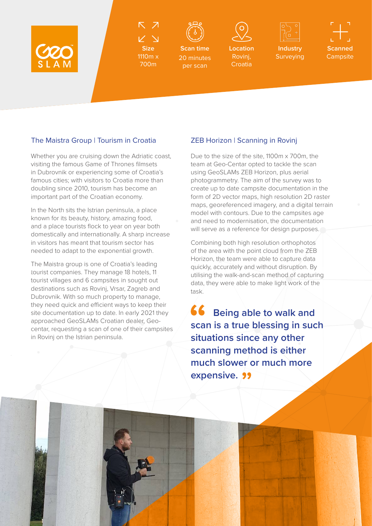

**Size** 1110m x

700m



**Scan time** 20 minutes per scan



**Location**  Rovini. **Croatia** 



Surveying

**Scanned Campsite** 

## The Maistra Group | Tourism in Croatia ZEB Horizon | Scanning in Rovinj

Whether you are cruising down the Adriatic coast, visiting the famous Game of Thrones filmsets in Dubrovnik or experiencing some of Croatia's famous cities; with visitors to Croatia more than doubling since 2010, tourism has become an important part of the Croatian economy.

In the North sits the Istrian peninsula, a place known for its beauty, history, amazing food, and a place tourists flock to year on year both domestically and internationally. A sharp increase in visitors has meant that tourism sector has needed to adapt to the exponential growth.

The Maistra group is one of Croatia's leading tourist companies. They manage 18 hotels, 11 tourist villages and 6 campsites in sought out destinations such as Rovinj, Vrsar, Zagreb and Dubrovnik. With so much property to manage, they need quick and efficient ways to keep their site documentation up to date. In early 2021 they approached GeoSLAMs Croatian dealer, Geocentar, requesting a scan of one of their campsites in Rovinj on the Istrian peninsula.

Due to the size of the site, 1100m x 700m, the team at Geo-Centar opted to tackle the scan using GeoSLAMs ZEB Horizon, plus aerial photogrammetry. The aim of the survey was to create up to date campsite documentation in the form of 2D vector maps, high resolution 2D raster maps, georeferenced imagery, and a digital terrain model with contours. Due to the campsites age and need to modernisation, the documentation will serve as a reference for design purposes.

Combining both high resolution orthophotos of the area with the point cloud from the ZEB Horizon, the team were able to capture data quickly, accurately and without disruption. By utilising the walk-and-scan method of capturing data, they were able to make light work of the task.

66  **Being able to walk and scan is a true blessing in such situations since any other scanning method is either much slower or much more expensive.**